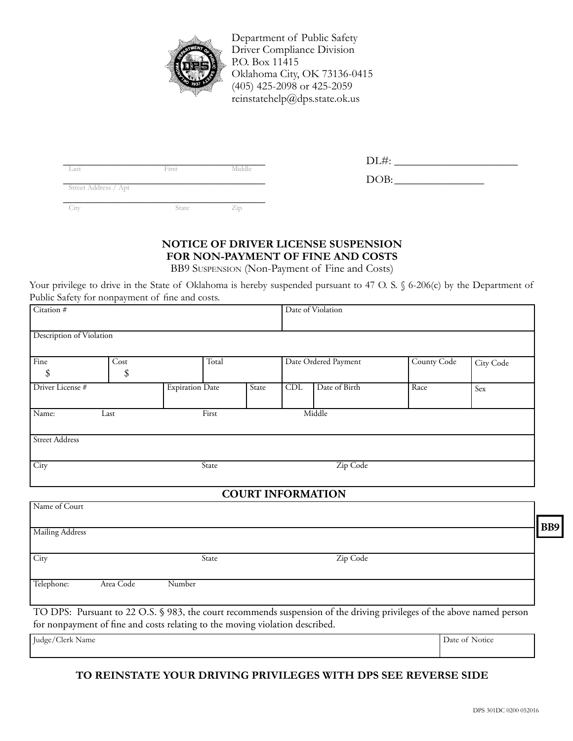

Department of Public Safety Driver Compliance Division P.O. Box 11415 Oklahoma City, OK 73136-0415 (405) 425-2098 or 425-2059 reinstatehelp@dps.state.ok.us

|                      |       |                              | $LLLH$ : |
|----------------------|-------|------------------------------|----------|
| Last                 | First | Middle                       |          |
|                      |       |                              | DOB:     |
| Street Address / Apt |       |                              |          |
|                      |       |                              |          |
|                      |       |                              |          |
| City                 | State | $\angle$ <sub>1</sub> $\Box$ |          |

| Last | H113 | VI 1 ( 1 ( 1 1 ( t |        |  |
|------|------|--------------------|--------|--|
|      |      |                    | אר זרו |  |

## **Notice of Driver License Suspension For Non-Payment of Fine and Costs**

BB9 Suspension (Non-Payment of Fine and Costs)

Your privilege to drive in the State of Oklahoma is hereby suspended pursuant to 47 O. S. § 6-206(c) by the Department of Public Safety for nonpayment of fine and costs.

| Citation #                       |            |                        |  | Date of Violation |                      |  |             |           |
|----------------------------------|------------|------------------------|--|-------------------|----------------------|--|-------------|-----------|
| Description of Violation         |            |                        |  |                   |                      |  |             |           |
| Fine<br>\$                       | Cost<br>\$ | Total                  |  |                   | Date Ordered Payment |  | County Code | City Code |
| Driver License #                 |            | <b>Expiration Date</b> |  | State             | Date of Birth<br>CDL |  | Race        | Sex       |
| Middle<br>Name:<br>First<br>Last |            |                        |  |                   |                      |  |             |           |
| <b>Street Address</b>            |            |                        |  |                   |                      |  |             |           |
| City                             | State      |                        |  | Zip Code          |                      |  |             |           |
| <b>COURT INFORMATION</b>         |            |                        |  |                   |                      |  |             |           |
| Name of Court                    |            |                        |  |                   |                      |  |             |           |
| Mailing Address                  |            |                        |  |                   |                      |  |             |           |

| Mailing Address   |           |               |             |        |
|-------------------|-----------|---------------|-------------|--------|
| $\overline{City}$ |           | State         | Zip Code    |        |
| Telephone:        | Area Code | Number        |             |        |
|                   |           | $\sim$ $\sim$ | .<br>$\sim$ | $\sim$ |

TO DPS: Pursuant to 22 O.S. § 983, the court recommends suspension of the driving privileges of the above named person for nonpayment of fine and costs relating to the moving violation described.

Judge/Clerk Name Date of Notice

## **To Reinstate your Driving Privileges With DPS See Reverse Side**

**BB9**